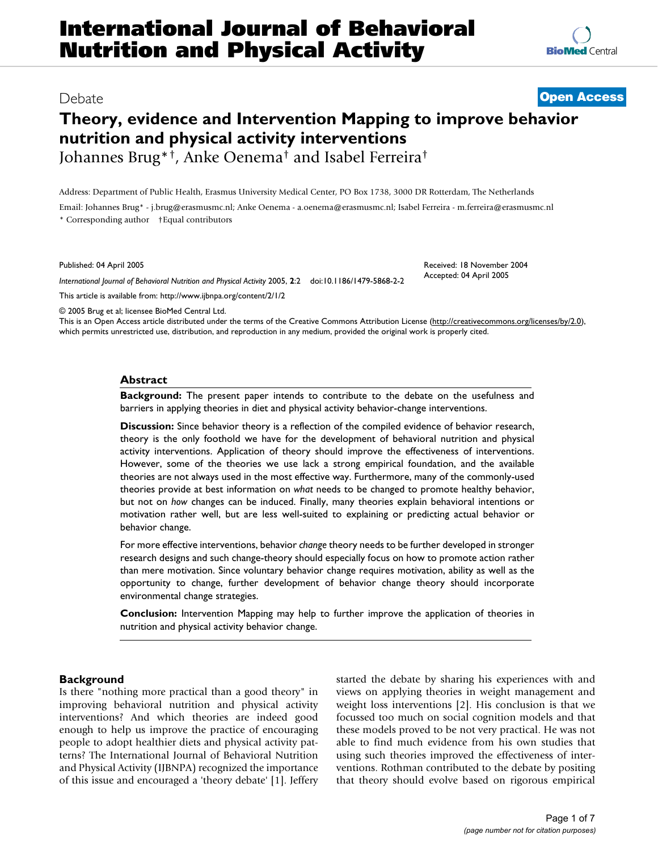# **Theory, evidence and Intervention Mapping to improve behavior nutrition and physical activity interventions** Johannes Brug\*†, Anke Oenema† and Isabel Ferreira†

Address: Department of Public Health, Erasmus University Medical Center, PO Box 1738, 3000 DR Rotterdam, The Netherlands Email: Johannes Brug\* - j.brug@erasmusmc.nl; Anke Oenema - a.oenema@erasmusmc.nl; Isabel Ferreira - m.ferreira@erasmusmc.nl \* Corresponding author †Equal contributors

Published: 04 April 2005

*International Journal of Behavioral Nutrition and Physical Activity* 2005, **2**:2 doi:10.1186/1479-5868-2-2

[This article is available from: http://www.ijbnpa.org/content/2/1/2](http://www.ijbnpa.org/content/2/1/2)

© 2005 Brug et al; licensee BioMed Central Ltd.

This is an Open Access article distributed under the terms of the Creative Commons Attribution License [\(http://creativecommons.org/licenses/by/2.0\)](http://creativecommons.org/licenses/by/2.0), which permits unrestricted use, distribution, and reproduction in any medium, provided the original work is properly cited.

## **Abstract**

**Background:** The present paper intends to contribute to the debate on the usefulness and barriers in applying theories in diet and physical activity behavior-change interventions.

**Discussion:** Since behavior theory is a reflection of the compiled evidence of behavior research, theory is the only foothold we have for the development of behavioral nutrition and physical activity interventions. Application of theory should improve the effectiveness of interventions. However, some of the theories we use lack a strong empirical foundation, and the available theories are not always used in the most effective way. Furthermore, many of the commonly-used theories provide at best information on *what* needs to be changed to promote healthy behavior, but not on *how* changes can be induced. Finally, many theories explain behavioral intentions or motivation rather well, but are less well-suited to explaining or predicting actual behavior or behavior change.

For more effective interventions, behavior *change* theory needs to be further developed in stronger research designs and such change-theory should especially focus on how to promote action rather than mere motivation. Since voluntary behavior change requires motivation, ability as well as the opportunity to change, further development of behavior change theory should incorporate environmental change strategies.

**Conclusion:** Intervention Mapping may help to further improve the application of theories in nutrition and physical activity behavior change.

# **Background**

Is there "nothing more practical than a good theory" in improving behavioral nutrition and physical activity interventions? And which theories are indeed good enough to help us improve the practice of encouraging people to adopt healthier diets and physical activity patterns? The International Journal of Behavioral Nutrition and Physical Activity (IJBNPA) recognized the importance of this issue and encouraged a 'theory debate' [1]. Jeffery started the debate by sharing his experiences with and views on applying theories in weight management and weight loss interventions [2]. His conclusion is that we focussed too much on social cognition models and that these models proved to be not very practical. He was not able to find much evidence from his own studies that using such theories improved the effectiveness of interventions. Rothman contributed to the debate by positing that theory should evolve based on rigorous empirical

Received: 18 November 2004 Accepted: 04 April 2005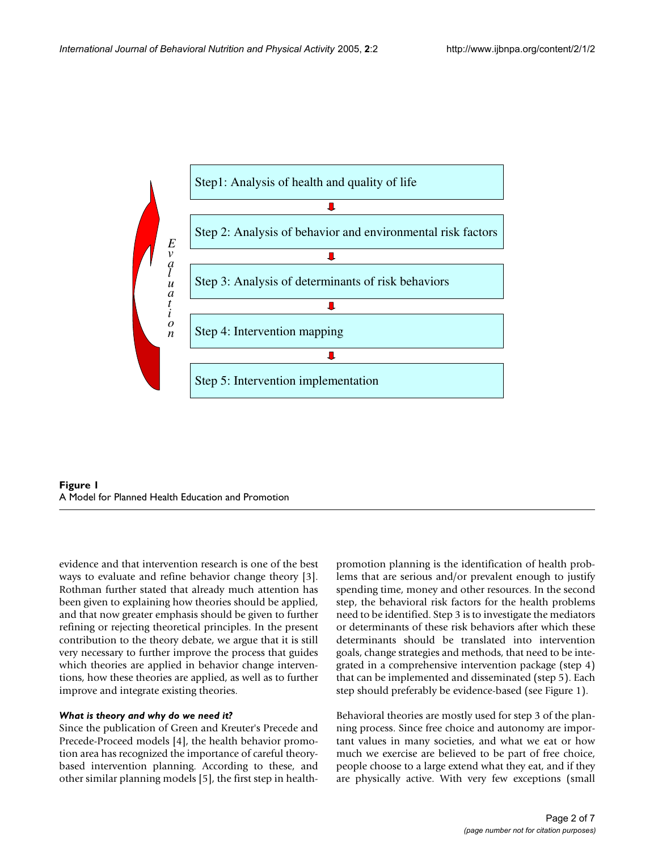

**Figure 1** A Model for Planned Health Education and Promotion

evidence and that intervention research is one of the best ways to evaluate and refine behavior change theory [3]. Rothman further stated that already much attention has been given to explaining how theories should be applied, and that now greater emphasis should be given to further refining or rejecting theoretical principles. In the present contribution to the theory debate, we argue that it is still very necessary to further improve the process that guides which theories are applied in behavior change interventions, how these theories are applied, as well as to further improve and integrate existing theories.

# *What is theory and why do we need it?*

Since the publication of Green and Kreuter's Precede and Precede-Proceed models [4], the health behavior promotion area has recognized the importance of careful theorybased intervention planning. According to these, and other similar planning models [5], the first step in healthpromotion planning is the identification of health problems that are serious and/or prevalent enough to justify spending time, money and other resources. In the second step, the behavioral risk factors for the health problems need to be identified. Step 3 is to investigate the mediators or determinants of these risk behaviors after which these determinants should be translated into intervention goals, change strategies and methods, that need to be integrated in a comprehensive intervention package (step 4) that can be implemented and disseminated (step 5). Each step should preferably be evidence-based (see Figure 1).

Behavioral theories are mostly used for step 3 of the planning process. Since free choice and autonomy are important values in many societies, and what we eat or how much we exercise are believed to be part of free choice, people choose to a large extend what they eat, and if they are physically active. With very few exceptions (small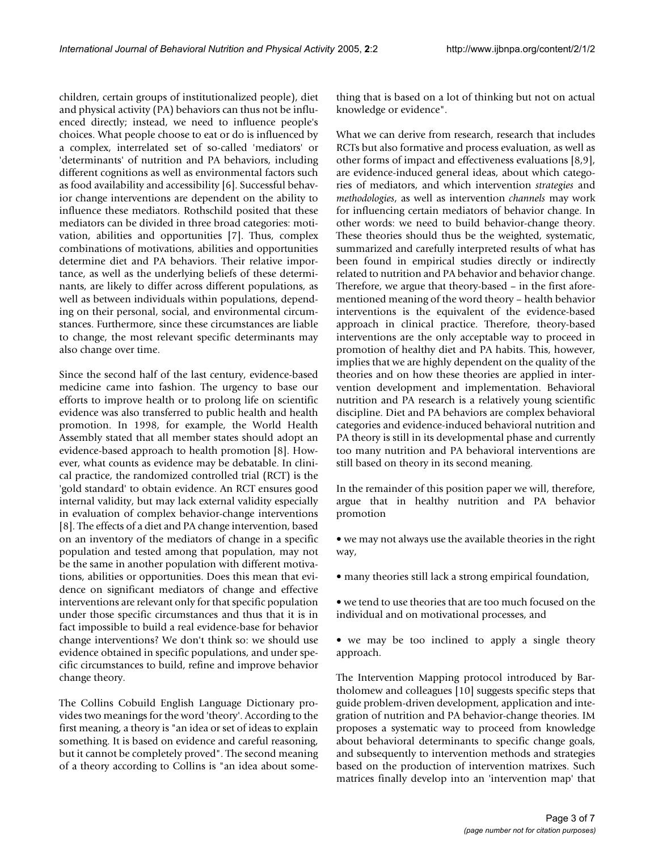children, certain groups of institutionalized people), diet and physical activity (PA) behaviors can thus not be influenced directly; instead, we need to influence people's choices. What people choose to eat or do is influenced by a complex, interrelated set of so-called 'mediators' or 'determinants' of nutrition and PA behaviors, including different cognitions as well as environmental factors such as food availability and accessibility [6]. Successful behavior change interventions are dependent on the ability to influence these mediators. Rothschild posited that these mediators can be divided in three broad categories: motivation, abilities and opportunities [7]. Thus, complex combinations of motivations, abilities and opportunities determine diet and PA behaviors. Their relative importance, as well as the underlying beliefs of these determinants, are likely to differ across different populations, as well as between individuals within populations, depending on their personal, social, and environmental circumstances. Furthermore, since these circumstances are liable to change, the most relevant specific determinants may also change over time.

Since the second half of the last century, evidence-based medicine came into fashion. The urgency to base our efforts to improve health or to prolong life on scientific evidence was also transferred to public health and health promotion. In 1998, for example, the World Health Assembly stated that all member states should adopt an evidence-based approach to health promotion [8]. However, what counts as evidence may be debatable. In clinical practice, the randomized controlled trial (RCT) is the 'gold standard' to obtain evidence. An RCT ensures good internal validity, but may lack external validity especially in evaluation of complex behavior-change interventions [8]. The effects of a diet and PA change intervention, based on an inventory of the mediators of change in a specific population and tested among that population, may not be the same in another population with different motivations, abilities or opportunities. Does this mean that evidence on significant mediators of change and effective interventions are relevant only for that specific population under those specific circumstances and thus that it is in fact impossible to build a real evidence-base for behavior change interventions? We don't think so: we should use evidence obtained in specific populations, and under specific circumstances to build, refine and improve behavior change theory.

The Collins Cobuild English Language Dictionary provides two meanings for the word 'theory'. According to the first meaning, a theory is "an idea or set of ideas to explain something. It is based on evidence and careful reasoning, but it cannot be completely proved". The second meaning of a theory according to Collins is "an idea about something that is based on a lot of thinking but not on actual knowledge or evidence".

What we can derive from research, research that includes RCTs but also formative and process evaluation, as well as other forms of impact and effectiveness evaluations [8,9], are evidence-induced general ideas, about which categories of mediators, and which intervention *strategies* and *methodologies*, as well as intervention *channels* may work for influencing certain mediators of behavior change. In other words: we need to build behavior-change theory. These theories should thus be the weighted, systematic, summarized and carefully interpreted results of what has been found in empirical studies directly or indirectly related to nutrition and PA behavior and behavior change. Therefore, we argue that theory-based – in the first aforementioned meaning of the word theory – health behavior interventions is the equivalent of the evidence-based approach in clinical practice. Therefore, theory-based interventions are the only acceptable way to proceed in promotion of healthy diet and PA habits. This, however, implies that we are highly dependent on the quality of the theories and on how these theories are applied in intervention development and implementation. Behavioral nutrition and PA research is a relatively young scientific discipline. Diet and PA behaviors are complex behavioral categories and evidence-induced behavioral nutrition and PA theory is still in its developmental phase and currently too many nutrition and PA behavioral interventions are still based on theory in its second meaning.

In the remainder of this position paper we will, therefore, argue that in healthy nutrition and PA behavior promotion

- we may not always use the available theories in the right way,
- many theories still lack a strong empirical foundation,
- we tend to use theories that are too much focused on the individual and on motivational processes, and
- we may be too inclined to apply a single theory approach.

The Intervention Mapping protocol introduced by Bartholomew and colleagues [10] suggests specific steps that guide problem-driven development, application and integration of nutrition and PA behavior-change theories. IM proposes a systematic way to proceed from knowledge about behavioral determinants to specific change goals, and subsequently to intervention methods and strategies based on the production of intervention matrixes. Such matrices finally develop into an 'intervention map' that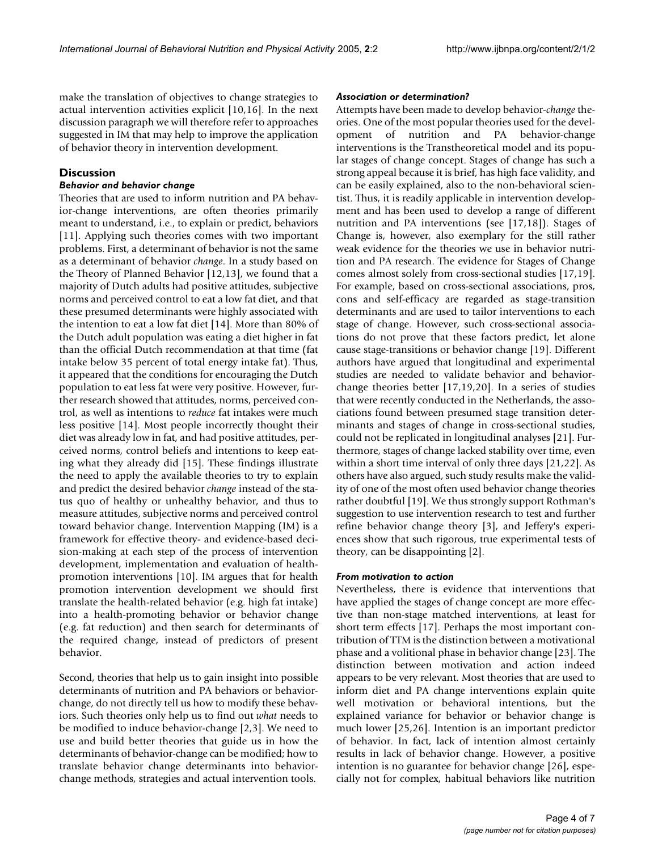make the translation of objectives to change strategies to actual intervention activities explicit [10,16]. In the next discussion paragraph we will therefore refer to approaches suggested in IM that may help to improve the application of behavior theory in intervention development.

## **Discussion**

# *Behavior and behavior change*

Theories that are used to inform nutrition and PA behavior-change interventions, are often theories primarily meant to understand, i.e., to explain or predict, behaviors [11]. Applying such theories comes with two important problems. First, a determinant of behavior is not the same as a determinant of behavior *change*. In a study based on the Theory of Planned Behavior [12,13], we found that a majority of Dutch adults had positive attitudes, subjective norms and perceived control to eat a low fat diet, and that these presumed determinants were highly associated with the intention to eat a low fat diet [14]. More than 80% of the Dutch adult population was eating a diet higher in fat than the official Dutch recommendation at that time (fat intake below 35 percent of total energy intake fat). Thus, it appeared that the conditions for encouraging the Dutch population to eat less fat were very positive. However, further research showed that attitudes, norms, perceived control, as well as intentions to *reduce* fat intakes were much less positive [14]. Most people incorrectly thought their diet was already low in fat, and had positive attitudes, perceived norms, control beliefs and intentions to keep eating what they already did [15]. These findings illustrate the need to apply the available theories to try to explain and predict the desired behavior *change* instead of the status quo of healthy or unhealthy behavior, and thus to measure attitudes, subjective norms and perceived control toward behavior change. Intervention Mapping (IM) is a framework for effective theory- and evidence-based decision-making at each step of the process of intervention development, implementation and evaluation of healthpromotion interventions [10]. IM argues that for health promotion intervention development we should first translate the health-related behavior (e.g. high fat intake) into a health-promoting behavior or behavior change (e.g. fat reduction) and then search for determinants of the required change, instead of predictors of present behavior.

Second, theories that help us to gain insight into possible determinants of nutrition and PA behaviors or behaviorchange, do not directly tell us how to modify these behaviors. Such theories only help us to find out *what* needs to be modified to induce behavior-change [2,3]. We need to use and build better theories that guide us in how the determinants of behavior-change can be modified; how to translate behavior change determinants into behaviorchange methods, strategies and actual intervention tools.

#### *Association or determination?*

Attempts have been made to develop behavior-*change* theories. One of the most popular theories used for the development of nutrition and PA behavior-change interventions is the Transtheoretical model and its popular stages of change concept. Stages of change has such a strong appeal because it is brief, has high face validity, and can be easily explained, also to the non-behavioral scientist. Thus, it is readily applicable in intervention development and has been used to develop a range of different nutrition and PA interventions (see [17,18]). Stages of Change is, however, also exemplary for the still rather weak evidence for the theories we use in behavior nutrition and PA research. The evidence for Stages of Change comes almost solely from cross-sectional studies [17,19]. For example, based on cross-sectional associations, pros, cons and self-efficacy are regarded as stage-transition determinants and are used to tailor interventions to each stage of change. However, such cross-sectional associations do not prove that these factors predict, let alone cause stage-transitions or behavior change [19]. Different authors have argued that longitudinal and experimental studies are needed to validate behavior and behaviorchange theories better [17,19,20]. In a series of studies that were recently conducted in the Netherlands, the associations found between presumed stage transition determinants and stages of change in cross-sectional studies, could not be replicated in longitudinal analyses [21]. Furthermore, stages of change lacked stability over time, even within a short time interval of only three days [21,22]. As others have also argued, such study results make the validity of one of the most often used behavior change theories rather doubtful [19]. We thus strongly support Rothman's suggestion to use intervention research to test and further refine behavior change theory [3], and Jeffery's experiences show that such rigorous, true experimental tests of theory, can be disappointing [2].

#### *From motivation to action*

Nevertheless, there is evidence that interventions that have applied the stages of change concept are more effective than non-stage matched interventions, at least for short term effects [17]. Perhaps the most important contribution of TTM is the distinction between a motivational phase and a volitional phase in behavior change [23]. The distinction between motivation and action indeed appears to be very relevant. Most theories that are used to inform diet and PA change interventions explain quite well motivation or behavioral intentions, but the explained variance for behavior or behavior change is much lower [25,26]. Intention is an important predictor of behavior. In fact, lack of intention almost certainly results in lack of behavior change. However, a positive intention is no guarantee for behavior change [26], especially not for complex, habitual behaviors like nutrition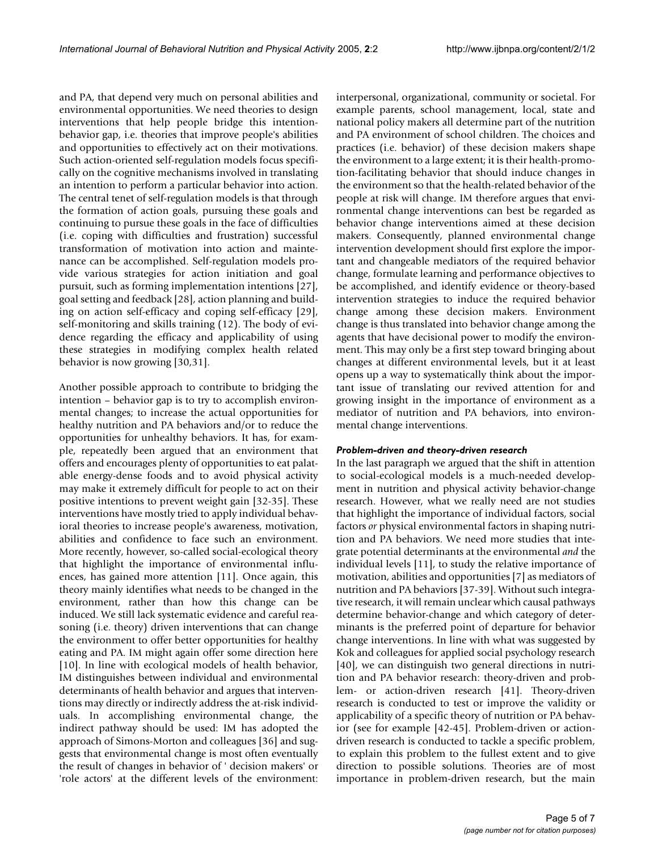and PA, that depend very much on personal abilities and environmental opportunities. We need theories to design interventions that help people bridge this intentionbehavior gap, i.e. theories that improve people's abilities and opportunities to effectively act on their motivations. Such action-oriented self-regulation models focus specifically on the cognitive mechanisms involved in translating an intention to perform a particular behavior into action. The central tenet of self-regulation models is that through the formation of action goals, pursuing these goals and continuing to pursue these goals in the face of difficulties (i.e. coping with difficulties and frustration) successful transformation of motivation into action and maintenance can be accomplished. Self-regulation models provide various strategies for action initiation and goal pursuit, such as forming implementation intentions [27], goal setting and feedback [28], action planning and building on action self-efficacy and coping self-efficacy [29], self-monitoring and skills training (12). The body of evidence regarding the efficacy and applicability of using these strategies in modifying complex health related behavior is now growing [30,31].

Another possible approach to contribute to bridging the intention – behavior gap is to try to accomplish environmental changes; to increase the actual opportunities for healthy nutrition and PA behaviors and/or to reduce the opportunities for unhealthy behaviors. It has, for example, repeatedly been argued that an environment that offers and encourages plenty of opportunities to eat palatable energy-dense foods and to avoid physical activity may make it extremely difficult for people to act on their positive intentions to prevent weight gain [32-35]. These interventions have mostly tried to apply individual behavioral theories to increase people's awareness, motivation, abilities and confidence to face such an environment. More recently, however, so-called social-ecological theory that highlight the importance of environmental influences, has gained more attention [11]. Once again, this theory mainly identifies what needs to be changed in the environment, rather than how this change can be induced. We still lack systematic evidence and careful reasoning (i.e. theory) driven interventions that can change the environment to offer better opportunities for healthy eating and PA. IM might again offer some direction here [10]. In line with ecological models of health behavior, IM distinguishes between individual and environmental determinants of health behavior and argues that interventions may directly or indirectly address the at-risk individuals. In accomplishing environmental change, the indirect pathway should be used: IM has adopted the approach of Simons-Morton and colleagues [36] and suggests that environmental change is most often eventually the result of changes in behavior of ' decision makers' or 'role actors' at the different levels of the environment:

interpersonal, organizational, community or societal. For example parents, school management, local, state and national policy makers all determine part of the nutrition and PA environment of school children. The choices and practices (i.e. behavior) of these decision makers shape the environment to a large extent; it is their health-promotion-facilitating behavior that should induce changes in the environment so that the health-related behavior of the people at risk will change. IM therefore argues that environmental change interventions can best be regarded as behavior change interventions aimed at these decision makers. Consequently, planned environmental change intervention development should first explore the important and changeable mediators of the required behavior change, formulate learning and performance objectives to be accomplished, and identify evidence or theory-based intervention strategies to induce the required behavior change among these decision makers. Environment change is thus translated into behavior change among the agents that have decisional power to modify the environment. This may only be a first step toward bringing about changes at different environmental levels, but it at least opens up a way to systematically think about the important issue of translating our revived attention for and growing insight in the importance of environment as a mediator of nutrition and PA behaviors, into environmental change interventions.

# *Problem-driven and theory-driven research*

In the last paragraph we argued that the shift in attention to social-ecological models is a much-needed development in nutrition and physical activity behavior-change research. However, what we really need are not studies that highlight the importance of individual factors, social factors *or* physical environmental factors in shaping nutrition and PA behaviors. We need more studies that integrate potential determinants at the environmental *and* the individual levels [11], to study the relative importance of motivation, abilities and opportunities [7] as mediators of nutrition and PA behaviors [37-39]. Without such integrative research, it will remain unclear which causal pathways determine behavior-change and which category of determinants is the preferred point of departure for behavior change interventions. In line with what was suggested by Kok and colleagues for applied social psychology research [40], we can distinguish two general directions in nutrition and PA behavior research: theory-driven and problem- or action-driven research [41]. Theory-driven research is conducted to test or improve the validity or applicability of a specific theory of nutrition or PA behavior (see for example [42-45]. Problem-driven or actiondriven research is conducted to tackle a specific problem, to explain this problem to the fullest extent and to give direction to possible solutions. Theories are of most importance in problem-driven research, but the main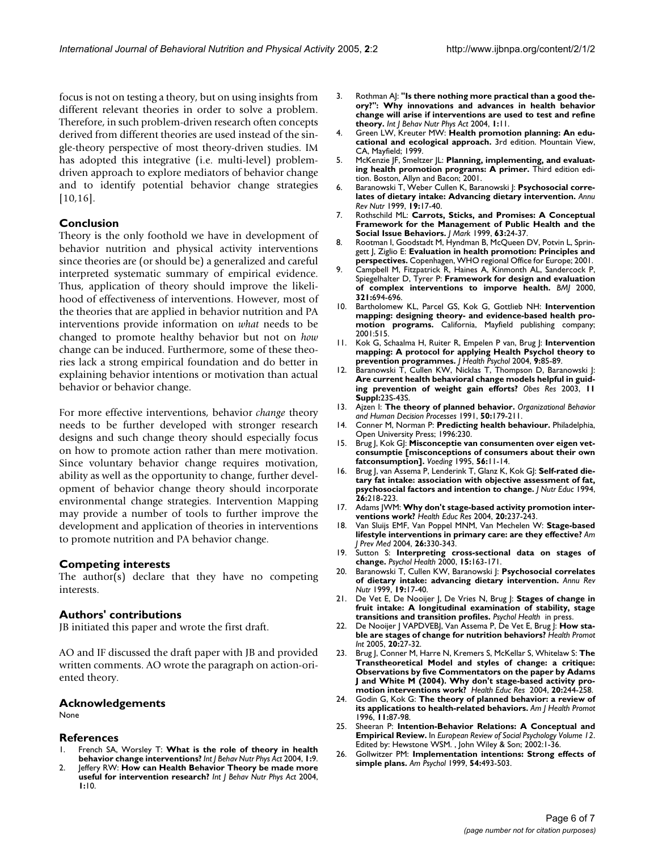focus is not on testing a theory, but on using insights from different relevant theories in order to solve a problem. Therefore, in such problem-driven research often concepts derived from different theories are used instead of the single-theory perspective of most theory-driven studies. IM has adopted this integrative (i.e. multi-level) problemdriven approach to explore mediators of behavior change and to identify potential behavior change strategies [10,16].

# **Conclusion**

Theory is the only foothold we have in development of behavior nutrition and physical activity interventions since theories are (or should be) a generalized and careful interpreted systematic summary of empirical evidence. Thus, application of theory should improve the likelihood of effectiveness of interventions. However, most of the theories that are applied in behavior nutrition and PA interventions provide information on *what* needs to be changed to promote healthy behavior but not on *how* change can be induced. Furthermore, some of these theories lack a strong empirical foundation and do better in explaining behavior intentions or motivation than actual behavior or behavior change.

For more effective interventions, behavior *change* theory needs to be further developed with stronger research designs and such change theory should especially focus on how to promote action rather than mere motivation. Since voluntary behavior change requires motivation, ability as well as the opportunity to change, further development of behavior change theory should incorporate environmental change strategies. Intervention Mapping may provide a number of tools to further improve the development and application of theories in interventions to promote nutrition and PA behavior change.

### **Competing interests**

The author(s) declare that they have no competing interests.

#### **Authors' contributions**

JB initiated this paper and wrote the first draft.

AO and IF discussed the draft paper with JB and provided written comments. AO wrote the paragraph on action-oriented theory.

## **Acknowledgements**

None

#### **References**

- 1. French SA, Worsley T: **[What is the role of theory in health](http://www.ncbi.nlm.nih.gov/entrez/query.fcgi?cmd=Retrieve&db=PubMed&dopt=Abstract&list_uids=15272937) [behavior change interventions?](http://www.ncbi.nlm.nih.gov/entrez/query.fcgi?cmd=Retrieve&db=PubMed&dopt=Abstract&list_uids=15272937)** *Int J Behav Nutr Phys Act* 2004, **1:**9.
- Jeffery RW: [How can Health Behavior Theory be made more](http://www.ncbi.nlm.nih.gov/entrez/query.fcgi?cmd=Retrieve&db=PubMed&dopt=Abstract&list_uids=15272938) **[useful for intervention research?](http://www.ncbi.nlm.nih.gov/entrez/query.fcgi?cmd=Retrieve&db=PubMed&dopt=Abstract&list_uids=15272938)** *Int J Behav Nutr Phys Act* 2004, **1:**10.
- 3. Rothman AJ: **["Is there nothing more practical than a good the](http://www.ncbi.nlm.nih.gov/entrez/query.fcgi?cmd=Retrieve&db=PubMed&dopt=Abstract&list_uids=15279674)[ory?": Why innovations and advances in health behavior](http://www.ncbi.nlm.nih.gov/entrez/query.fcgi?cmd=Retrieve&db=PubMed&dopt=Abstract&list_uids=15279674) change will arise if interventions are used to test and refine [theory.](http://www.ncbi.nlm.nih.gov/entrez/query.fcgi?cmd=Retrieve&db=PubMed&dopt=Abstract&list_uids=15279674)** *Int J Behav Nutr Phys Act* 2004, **1:**11.
- 4. Green LW, Kreuter MW: **Health promotion planning: An educational and ecological approach.** 3rd edition. Mountain View, CA, Mayfield; 1999.
- 5. McKenzie JF, Smeltzer JL: **Planning, implementing, and evaluating health promotion programs: A primer.** Third edition edition. Boston, Allyn and Bacon; 2001.
- 6. Baranowski T, Weber Cullen K, Baranowski J: **[Psychosocial corre](http://www.ncbi.nlm.nih.gov/entrez/query.fcgi?cmd=Retrieve&db=PubMed&dopt=Abstract&list_uids=10448515)[lates of dietary intake: Advancing dietary intervention.](http://www.ncbi.nlm.nih.gov/entrez/query.fcgi?cmd=Retrieve&db=PubMed&dopt=Abstract&list_uids=10448515)** *Annu Rev Nutr* 1999, **19:**17-40.
- 7. Rothschild ML: **Carrots, Sticks, and Promises: A Conceptual Framework for the Management of Public Health and the Social Issue Behaviors.** *J Mark* 1999, **63:**24-37.
- 8. Rootman I, Goodstadt M, Hyndman B, McQueen DV, Potvin L, Springett J, Ziglio E: **Evaluation in health promotion: Principles and perspectives.** Copenhagen, WHO regional Office for Europe; 2001.
- 9. Campbell M, Fitzpatrick R, Haines A, Kinmonth AL, Sandercock P, Spiegelhalter D, Tyrer P: **[Framework for design and evaluation](http://www.ncbi.nlm.nih.gov/entrez/query.fcgi?cmd=Retrieve&db=PubMed&dopt=Abstract&list_uids=10987780) [of complex interventions to imporve health.](http://www.ncbi.nlm.nih.gov/entrez/query.fcgi?cmd=Retrieve&db=PubMed&dopt=Abstract&list_uids=10987780)** *BMJ* 2000, **321:**694-696.
- 10. Bartholomew KL, Parcel GS, Kok G, Gottlieb NH: **Intervention mapping: designing theory- and evidence-based health promotion programs.** California, Mayfield publishing company; 2001:515.
- 11. Kok G, Schaalma H, Ruiter R, Empelen P van, Brug J: **[Intervention](http://www.ncbi.nlm.nih.gov/entrez/query.fcgi?cmd=Retrieve&db=PubMed&dopt=Abstract&list_uids=14683571) [mapping: A protocol for applying Health Psychol theory to](http://www.ncbi.nlm.nih.gov/entrez/query.fcgi?cmd=Retrieve&db=PubMed&dopt=Abstract&list_uids=14683571) [prevention programmes.](http://www.ncbi.nlm.nih.gov/entrez/query.fcgi?cmd=Retrieve&db=PubMed&dopt=Abstract&list_uids=14683571)** *J Health Psychol* 2004, **9:**85-89.
- 12. Baranowski T, Cullen KW, Nicklas T, Thompson D, Baranowski J: **[Are current health behavioral change models helpful in guid](http://www.ncbi.nlm.nih.gov/entrez/query.fcgi?cmd=Retrieve&db=PubMed&dopt=Abstract&list_uids=14569036)[ing prevention of weight gain efforts?](http://www.ncbi.nlm.nih.gov/entrez/query.fcgi?cmd=Retrieve&db=PubMed&dopt=Abstract&list_uids=14569036)** *Obes Res* 2003, **11 Suppl:**23S-43S.
- 13. Ajzen I: **The theory of planned behavior.** *Organizational Behavior and Human Decision Processes* 1991, **50:**179-211.
- 14. Conner M, Norman P: **Predicting health behaviour.** Philadelphia, Open University Press; 1996:230.
- 15. Brug J, Kok GJ: **Misconceptie van consumenten over eigen vetconsumptie [misconceptions of consumers about their own fatconsumption].** *Voeding* 1995, **56:**11-14.
- 16. Brug J, van Assema P, Lenderink T, Glanz K, Kok G|: Self-rated die**tary fat intake: association with objective assessment of fat, psychosocial factors and intention to change.** *J Nutr Educ* 1994, **26:**218-223.
- 17. Adams JWM: **[Why don't stage-based activity promotion inter](http://www.ncbi.nlm.nih.gov/entrez/query.fcgi?cmd=Retrieve&db=PubMed&dopt=Abstract&list_uids=15253998)[ventions work?](http://www.ncbi.nlm.nih.gov/entrez/query.fcgi?cmd=Retrieve&db=PubMed&dopt=Abstract&list_uids=15253998)** *Health Educ Res* 2004, **20:**237-243.
- 18. Van Sluijs EMF, Van Poppel MNM, Van Mechelen W: **[Stage-based](http://www.ncbi.nlm.nih.gov/entrez/query.fcgi?cmd=Retrieve&db=PubMed&dopt=Abstract&list_uids=15110061) [lifestyle interventions in primary care: are they effective?](http://www.ncbi.nlm.nih.gov/entrez/query.fcgi?cmd=Retrieve&db=PubMed&dopt=Abstract&list_uids=15110061)** *Am J Prev Med* 2004, **26:**330-343.
- 19. Sutton S: **Interpreting cross-sectional data on stages of change.** *Psychol Health* 2000, **15:**163-171.
- 20. Baranowski T, Cullen KW, Baranowski J: **[Psychosocial correlates](http://www.ncbi.nlm.nih.gov/entrez/query.fcgi?cmd=Retrieve&db=PubMed&dopt=Abstract&list_uids=10448515) [of dietary intake: advancing dietary intervention.](http://www.ncbi.nlm.nih.gov/entrez/query.fcgi?cmd=Retrieve&db=PubMed&dopt=Abstract&list_uids=10448515)** *Annu Rev Nutr* 1999, **19:**17-40.
- 21. De Vet E, De Nooijer J, De Vries N, Brug J: **Stages of change in fruit intake: A longitudinal examination of stability, stage transitions and transition profiles.** *Psychol Health* in press.
- 22. De Nooijer J VAPDVEBJ, Van Assema P, De Vet E, Brug J: **[How sta](http://www.ncbi.nlm.nih.gov/entrez/query.fcgi?cmd=Retrieve&db=PubMed&dopt=Abstract&list_uids=15668216)[ble are stages of change for nutrition behaviors?](http://www.ncbi.nlm.nih.gov/entrez/query.fcgi?cmd=Retrieve&db=PubMed&dopt=Abstract&list_uids=15668216)** *Health Promot Int* 2005, **20:**27-32.
- 23. Brug J, Conner M, Harre N, Kremers S, McKellar S, Whitelaw S: **[The](http://www.ncbi.nlm.nih.gov/entrez/query.fcgi?cmd=Retrieve&db=PubMed&dopt=Abstract&list_uids=15618324) [Transtheoretical Model and styles of change: a critique:](http://www.ncbi.nlm.nih.gov/entrez/query.fcgi?cmd=Retrieve&db=PubMed&dopt=Abstract&list_uids=15618324) Observations by five Commentators on the paper by Adams J and White M (2004). Why don't stage-based activity pro[motion interventions work?](http://www.ncbi.nlm.nih.gov/entrez/query.fcgi?cmd=Retrieve&db=PubMed&dopt=Abstract&list_uids=15618324)** *Health Educ Res* 2004, **20:**244-258.
- 24. Godin G, Kok G: **[The theory of planned behavior: a review of](http://www.ncbi.nlm.nih.gov/entrez/query.fcgi?cmd=Retrieve&db=PubMed&dopt=Abstract&list_uids=10163601) [its applications to health-related behaviors.](http://www.ncbi.nlm.nih.gov/entrez/query.fcgi?cmd=Retrieve&db=PubMed&dopt=Abstract&list_uids=10163601)** *Am J Health Promot* 1996, **11:**87-98.
- 25. Sheeran P: **Intention-Behavior Relations: A Conceptual and Empirical Review.** In *European Review of Social Psychology Volume 12*. Edited by: Hewstone WSM. , John Wiley & Son; 2002:1-36.
- 26. Gollwitzer PM: **Implementation intentions: Strong effects of simple plans.** *Am Psychol* 1999, **54:**493-503.